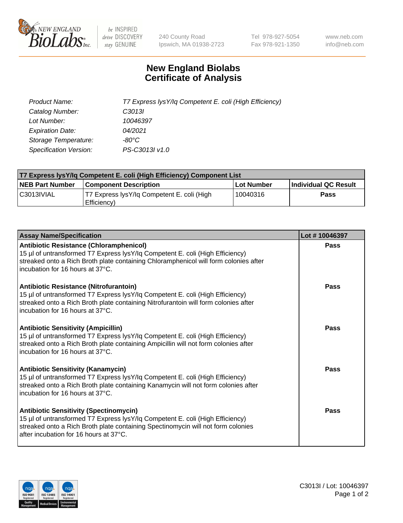

 $be$  INSPIRED drive DISCOVERY stay GENUINE

240 County Road Ipswich, MA 01938-2723 Tel 978-927-5054 Fax 978-921-1350 www.neb.com info@neb.com

## **New England Biolabs Certificate of Analysis**

| Product Name:           | T7 Express lysY/lq Competent E. coli (High Efficiency) |
|-------------------------|--------------------------------------------------------|
| Catalog Number:         | C <sub>3013</sub>                                      |
| Lot Number:             | 10046397                                               |
| <b>Expiration Date:</b> | 04/2021                                                |
| Storage Temperature:    | -80°C                                                  |
| Specification Version:  | PS-C3013I v1.0                                         |

| T7 Express lysY/lq Competent E. coli (High Efficiency) Component List |                                                           |            |                      |  |
|-----------------------------------------------------------------------|-----------------------------------------------------------|------------|----------------------|--|
| <b>NEB Part Number</b>                                                | <b>Component Description</b>                              | Lot Number | Individual QC Result |  |
| C3013IVIAL                                                            | T7 Express lysY/lg Competent E. coli (High<br>Efficiency) | 10040316   | Pass                 |  |

| <b>Assay Name/Specification</b>                                                                                                                                                                                                                              | Lot #10046397 |
|--------------------------------------------------------------------------------------------------------------------------------------------------------------------------------------------------------------------------------------------------------------|---------------|
| <b>Antibiotic Resistance (Chloramphenicol)</b><br>15 µl of untransformed T7 Express lysY/lq Competent E. coli (High Efficiency)<br>streaked onto a Rich Broth plate containing Chloramphenicol will form colonies after<br>incubation for 16 hours at 37°C.  | Pass          |
| <b>Antibiotic Resistance (Nitrofurantoin)</b><br>15 µl of untransformed T7 Express lysY/lq Competent E. coli (High Efficiency)<br>streaked onto a Rich Broth plate containing Nitrofurantoin will form colonies after<br>incubation for 16 hours at 37°C.    | Pass          |
| <b>Antibiotic Sensitivity (Ampicillin)</b><br>15 µl of untransformed T7 Express lysY/lq Competent E. coli (High Efficiency)<br>streaked onto a Rich Broth plate containing Ampicillin will not form colonies after<br>incubation for 16 hours at 37°C.       | Pass          |
| <b>Antibiotic Sensitivity (Kanamycin)</b><br>15 µl of untransformed T7 Express lysY/lq Competent E. coli (High Efficiency)<br>streaked onto a Rich Broth plate containing Kanamycin will not form colonies after<br>incubation for 16 hours at 37°C.         | Pass          |
| <b>Antibiotic Sensitivity (Spectinomycin)</b><br>15 µl of untransformed T7 Express lysY/lq Competent E. coli (High Efficiency)<br>streaked onto a Rich Broth plate containing Spectinomycin will not form colonies<br>after incubation for 16 hours at 37°C. | Pass          |